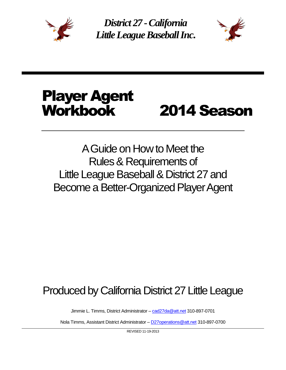

*District 27 -California Little League Baseball Inc*.



# Player Agent Workbook 2014 Season

# A Guide on How to Meet the Rules & Requirements of Little League Baseball & District 27 and Become a Better-Organized Player Agent

# Produced by California District 27 Little League

Jimmie L. Timms, District Administrator - [cad27da@att.net](mailto:cad27da@att.net) 310-897-0701

Nola Timms, Assistant District Administrator – [D27operations@att.net](mailto:D27operations@att.net) 310-897-0700

REVISED 11-19-2013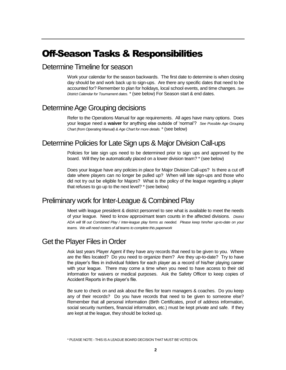# Off-Season Tasks & Responsibilities

#### Determine Timeline for season

Work your calendar for the season backwards. The first date to determine is when closing day should be and work back up to sign-ups. Are there any specific dates that need to be accounted for? Remember to plan for holidays, local school events, and time changes. *See District Calendar for Tournament dates.* \* (see below) For Season start & end dates.

#### Determine Age Grouping decisions

Refer to the Operations Manual for age requirements. All ages have many options. Does your league need a **waiver** for anything else outside of 'normal'? *See Possible Age Grouping Chart (from Operating Manual) & Age Chart for more details.*\* (see below)

#### Determine Policies for Late Sign ups & Major Division Call-ups

Policies for late sign ups need to be determined prior to sign ups and approved by the board. Will they be automatically placed on a lower division team? \* (see below)

Does your league have any policies in place for Major Division Call-ups? Is there a cut off date where players can no longer be pulled up? When will late sign-ups and those who did not try out be eligible for Majors? What is the policy of the league regarding a player that refuses to go up to the next level? \* (see below)

#### Preliminary work for Inter-League & Combined Play

Meet with league president & district personnel to see what is available to meet the needs of your league. Need to know approximant team counts in the affected divisions. *District ADA will fill out Combined Play / Inter-league play forms as needed. Please keep him/her up-to-date on your teams. We will need rosters of all teams to complete this paperwork*

#### Get the Player Files in Order

Ask last years Player Agent if they have any records that need to be given to you. Where are the files located? Do you need to organize them? Are they up-to-date? Try to have the player's files in individual folders for each player as a record of his/her playing career with your league. There may come a time when you need to have access to their old information for waivers or medical purposes. Ask the Safety Officer to keep copies of Accident Reports in the player's file.

Be sure to check on and ask about the files for team managers & coaches. Do you keep any of their records? Do you have records that need to be given to someone else? Remember that all personal information (Birth Certificates, proof of address information, social security numbers, financial information, etc.) must be kept private and safe. If they are kept at the league, they should be locked up.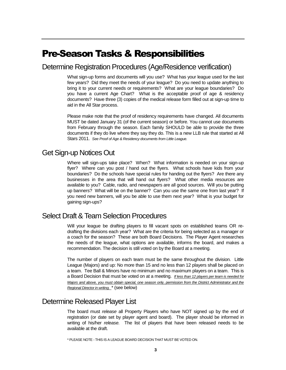# Pre-Season Tasks & Responsibilities

#### Determine Registration Procedures (Age/Residence verification)

What sign-up forms and documents will you use? What has your league used for the last few years? Did they meet the needs of your league? Do you need to update anything to bring it to your current needs or requirements? What are your league boundaries? Do you have a current Age Chart? What is the acceptable proof of age & residency documents? Have three (3) copies of the medical release form filled out at sign-up time to aid in the All Star process.

Please make note that the proof of residency requirements have changed. All documents MUST be dated January 31 (of the current season) or before. You cannot use documents from February through the season. Each family SHOULD be able to provide the three documents if they do live where they say they do. This is a new LLB rule that started at All Stars 2011. *See Proof of Age & Residency documents from Little League.*

#### Get Sign-up Notices Out

Where will sign-ups take place? When? What information is needed on your sign-up flyer? Where can you post / hand out the flyers. What schools have kids from your boundaries? Do the schools have special rules for handing out the flyers? Are there any businesses in the area that will hand out flyers? What other media resources are available to you? Cable, radio, and newspapers are all good sources. Will you be putting up banners? What will be on the banner? Can you use the same one from last year? If you need new banners, will you be able to use them next year? What is your budget for gaining sign-ups?

#### Select Draft & Team Selection Procedures

Will your league be drafting players to fill vacant spots on established teams OR redrafting the divisions each year? What are the criteria for being selected as a manager or a coach for the season? These are both Board Decisions. The Player Agent researches the needs of the league, what options are available, informs the board, and makes a recommendation. The decision is still voted on by the Board at a meeting.

The number of players on each team must be the same throughout the division. Little League (Majors) and up: No more than 15 and no less than 12 players shall be placed on a team. Tee Ball & Minors have no minimum and no maximum players on a team. This is a Board Decision that must be voted on at a meeting. *If less than 12 players per team is needed for Majors and above, you must obtain special, one season only, permission from the District Administrator and the Regional Director in writing.* \* (see below)

#### Determine Released Player List

The board must *release* all Property Players who have NOT signed up by the end of registration (or date set by player agent and board). The player should be informed in writing of his/her *release.* The list of players that have been released needs to be available at the draft.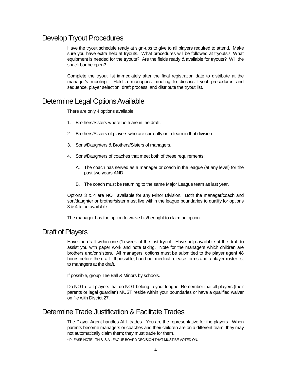#### Develop Tryout Procedures

Have the tryout schedule ready at sign-ups to give to all players required to attend. Make sure you have extra help at tryouts. What procedures will be followed at tryouts? What equipment is needed for the tryouts? Are the fields ready & available for tryouts? Will the snack bar be open?

Complete the tryout list immediately after the final registration date to distribute at the manager's meeting. Hold a manager's meeting to discuss tryout procedures and sequence, player selection, draft process, and distribute the tryout list.

#### Determine Legal Options Available

There are only 4 options available:

- 1. Brothers/Sisters where both are in the draft.
- 2. Brothers/Sisters of players who are currently on a team in that division.
- 3. Sons/Daughters & Brothers/Sisters of managers.
- 4. Sons/Daughters of coaches that meet both of these requirements:
	- A. The coach has served as a manager or coach in the league (at any level) for the past two years AND,
	- B. The coach must be returning to the same Major League team as last year.

Options 3 & 4 are NOT available for any Minor Division. Both the manager/coach and son/daughter or brother/sister must live within the league boundaries to qualify for options 3 & 4 to be available.

The manager has the option to waive his/her right to claim an option.

#### Draft of Players

Have the draft within one (1) week of the last tryout. Have help available at the draft to assist you with paper work and note taking. Note for the managers which children are brothers and/or sisters. All managers' options must be submitted to the player agent 48 hours before the draft. If possible, hand out medical release forms and a player roster list to managers at the draft.

If possible, group Tee Ball & Minors by schools.

Do NOT draft players that do NOT belong to your league. Remember that all players (their parents or legal guardian) MUST reside within your boundaries or have a qualified waiver on file with District 27.

#### Determine Trade Justification & Facilitate Trades

The Player Agent handles ALL trades. You are the representative for the players. When parents become managers or coaches and their children are on a different team, they may not automatically claim them; they must trade for them.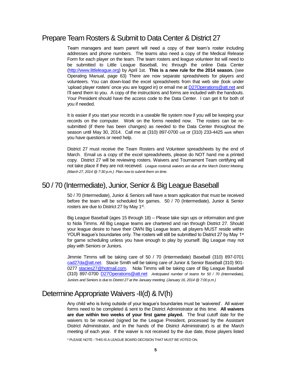#### Prepare Team Rosters & Submit to Data Center & District 27

Team managers and team parent will need a copy of their team's roster including addresses and phone numbers. The teams also need a copy of the Medical Release Form for each player on the team. The team rosters and league volunteer list will need to be submitted to Little League Baseball, Inc through the online Data Center [\(http://www.littleleague.org\)](http://www.littleleague.org/) by April 1st. **This is a new rule for the 2014 season.** (see Operating Manual, page 63) There are now separate spreadsheets for players and volunteers. You can down-load the excel spreadsheets from that web site (look under 'upload player rosters' once you are logged in) or email me at **D27Operations@att.net** and I'll send them to you. A copy of the instructions and forms are included with the handouts. Your President should have the access code to the Data Center. I can get it for both of you if needed.

It is easier if you start your records in a useable file system now if you will be keeping your records on the computer. Work on the forms needed now. The rosters can be resubmitted (if there has been changes) as needed to the Data Center throughout the season until May 30, 2014. Call me at (310) 897-0700 cell or (310) 233-4425 work when you have questions or need help.

District 27 must receive the Team Rosters and Volunteer spreadsheets by the end of March. Email us a copy of the excel spreadsheets, please do NOT hand me a printed copy. District 27 will be reviewing rosters. Waivers and Tournament Team certifying will not take place if they are not received. *League rosters& waivers are due at the March District Meeting. (March 27, 2014 @ 7:30 p.m.) Plan now to submit them on time.*

#### 50 / 70 (Intermediate), Junior, Senior & Big League Baseball

50 / 70 (Intermediate), Junior & Seniors will have a team application that must be received before the team will be scheduled for games. 50 / 70 (Intermediate), Junior & Senior rosters are due to District 27 by May 1<sup>st</sup>.

Big League Baseball (ages 15 through 18) – Please take sign ups or information and give to Nola Timms. All Big League teams are chartered and ran through District 27. Should your league desire to have their OWN Big League team, all players MUST reside within YOUR league's boundaries only. The rosters will still be submitted to District 27 by May 1<sup>st</sup> for game scheduling unless you have enough to play by yourself. Big League may not play with Seniors or Juniors.

Jimmie Timms will be taking care of 50 / 70 (Intermediate) Baseball (310) 897-0701 [cad27da@att.net.](mailto:cad27da@att.net) Stacie Smith will be taking care of Junior & Senior Baseball (310) 901- 0277 [stacies27@hotmail.com.](mailto:stacies27@hotmail.com) Nola Timms will be taking care of Big League Baseball (310) 897-0700 [D27Operations@att.net](mailto:D27Operations@att.net) *Anticipated number of teams for 50 / 70 (Intermediate), Juniors and Seniors is due to District 27 at the January meeting. (January 16, 2014 @ 7:00 p.m.)*

### Determine Appropriate Waivers -II(d) & IV(h)

Any child who is living outside of your league's boundaries must be 'waivered'. All waiver forms need to be completed & sent to the District Administrator at this time. **All waivers are due within two weeks of your first game played.** The final cutoff date for the waivers to be received (signed be the League President, processed by the Assistant District Administrator, and in the hands of the District Administrator) is at the March meeting of each year. If the waiver is not received by the due date, those players listed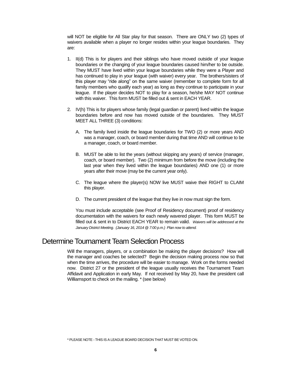will NOT be eligible for All Star play for that season. There are ONLY two (2) types of waivers available when a player no longer resides within your league boundaries. They are:

- 1. II(d) This is for players and their siblings who have moved outside of your league boundaries or the changing of your league boundaries caused him/her to be outside. They MUST have lived within your league boundaries while they were a Player and has continued to play in your league (with waiver) every year. The brothers/sisters of this player may "ride along" on the same waiver (remember to complete form for all family members who qualify each year) as long as they continue to participate in your league. If the player decides NOT to play for a season, he/she MAY NOT continue with this waiver. This form MUST be filled out & sent in EACH YEAR.
- 2. IV(h) This is for players whose family (legal guardian or parent) lived within the league boundaries before and now has moved outside of the boundaries. They MUST MEET ALL THREE (3) conditions:
	- A. The family lived inside the league boundaries for TWO (2) or more years AND was a manager, coach, or board member during that time AND will continue to be a manager, coach, or board member.
	- B. MUST be able to list the years (without skipping any years) of service (manager, coach, or board member). Two (2) minimum from before the move (including the last year when they lived within the league boundaries) AND one (1) or more years after their move (may be the current year only).
	- C. The league where the player(s) NOW live MUST waive their RIGHT to CLAIM this player.
	- D. The current president of the league that they live in now must sign the form.

You must include acceptable (see Proof of Residency document) proof of residency documentation with the waivers for each newly wavered player. This form MUST be filled out & sent in to District EACH YEAR to remain valid. *Waivers will be addressed at the January District Meeting. (January 16, 2014 @ 7:00 p.m.) Plan now to attend.*

#### Determine Tournament Team Selection Process

Will the managers, players, or a combination be making the player decisions? How will the manager and coaches be selected? Begin the decision making process now so that when the time arrives, the procedure will be easier to manage. Work on the forms needed now. District 27 or the president of the league usually receives the Tournament Team Affidavit and Application in early May. If not received by May 20, have the president call Williamsport to check on the mailing. \* (see below)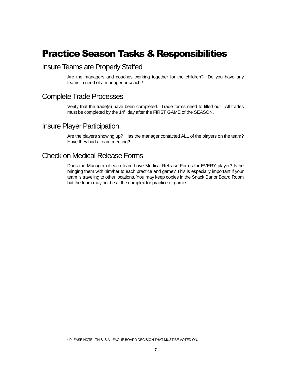### Practice Season Tasks & Responsibilities

#### Insure Teams are Properly Staffed

Are the managers and coaches working together for the children? Do you have any teams in need of a manager or coach?

#### Complete Trade Processes

Verify that the trade(s) have been completed. Trade forms need to filled out. All trades must be completed by the 14<sup>th</sup> day after the FIRST GAME of the SEASON.

#### Insure Player Participation

Are the players showing up? Has the manager contacted ALL of the players on the team? Have they had a team meeting?

### Check on Medical Release Forms

Does the Manager of each team have Medical Release Forms for EVERY player? Is he bringing them with him/her to each practice and game? This is especially important if your team is traveling to other locations. You may keep copies in the Snack Bar or Board Room but the team may not be at the complex for practice or games.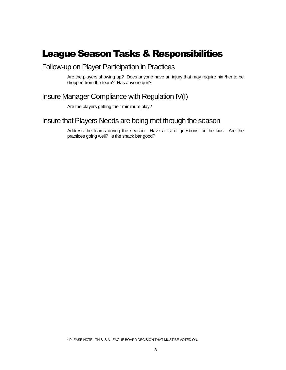# League Season Tasks & Responsibilities

#### Follow-up on Player Participation in Practices

Are the players showing up? Does anyone have an injury that may require him/her to be dropped from the team? Has anyone quit?

#### Insure Manager Compliance with Regulation IV(I)

Are the players getting their minimum play?

#### Insure that Players Needs are being met through the season

Address the teams during the season. Have a list of questions for the kids. Are the practices going well? Is the snack bar good?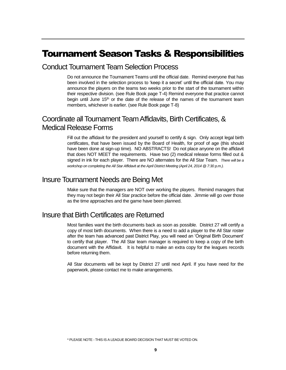# Tournament Season Tasks & Responsibilities

#### Conduct Tournament Team Selection Process

Do not announce the Tournament Teams until the official date. Remind everyone that has been involved in the selection process to 'keep it a secret' until the official date. You may announce the players on the teams two weeks prior to the start of the tournament within their respective division. (see Rule Book page T-4) Remind everyone that practice cannot begin until June  $15<sup>th</sup>$  or the date of the release of the names of the tournament team members, whichever is earlier. (see Rule Book page T-8)

#### Coordinate all Tournament Team Affidavits, Birth Certificates, & Medical Release Forms

Fill out the affidavit for the president and yourself to certify & sign. Only accept legal birth certificates, that have been issued by the Board of Health, for proof of age (this should have been done at sign-up time). NO ABSTRACTS! Do not place anyone on the affidavit that does NOT MEET the requirements. Have two (2) medical release forms filled out & signed in ink for each player. There are NO alternates for the All Star Team. *There will be a workshop on completing the All Star Affidavit at the April District Meeting (April 24, 2014 @ 7:30 p.m.).* 

#### Insure Tournament Needs are Being Met

Make sure that the managers are NOT over working the players. Remind managers that they may not begin their All Star practice before the official date. Jimmie will go over those as the time approaches and the game have been planned.

#### Insure that Birth Certificates are Returned

Most families want the birth documents back as soon as possible. District 27 will certify a copy of most birth documents. When there is a need to add a player to the All Star roster after the team has advanced past District Play, you will need an 'Original Birth Document' to certify that player. The All Star team manager is required to keep a copy of the birth document with the Affidavit. It is helpful to make an extra copy for the leagues records before returning them.

All Star documents will be kept by District 27 until next April. If you have need for the paperwork, please contact me to make arrangements.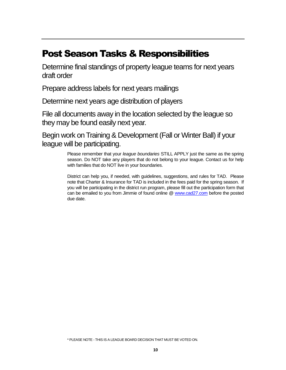# Post Season Tasks & Responsibilities

Determine final standings of property league teams for next years draft order

Prepare address labels for next years mailings

Determine next years age distribution of players

File all documents away in the location selected by the league so they may be found easily next year.

Begin work on Training & Development (Fall or Winter Ball) if your league will be participating.

> Please remember that your *league boundaries* STILL APPLY just the same as the spring season. Do NOT take any players that do not belong to your league. Contact us for help with families that do NOT live in your boundaries.

> District can help you, if needed, with guidelines, suggestions, and rules for TAD. Please note that Charter & Insurance for TAD is included in the fees paid for the spring season. If you will be participating in the district run program, please fill out the participation form that can be emailed to you from Jimmie of found online @ [www.cad27.com](http://www.cad27.com/) before the posted due date.